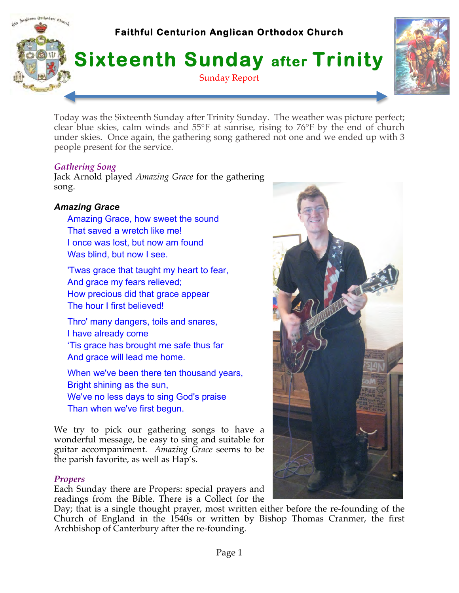



Today was the Sixteenth Sunday after Trinity Sunday. The weather was picture perfect; clear blue skies, calm winds and 55°F at sunrise, rising to 76°F by the end of church under skies. Once again, the gathering song gathered not one and we ended up with 3 people present for the service.

### *Gathering Song*

Jack Arnold played *Amazing Grace* for the gathering song.

# *Amazing Grace*

Amazing Grace, how sweet the sound That saved a wretch like me! I once was lost, but now am found Was blind, but now I see.

'Twas grace that taught my heart to fear, And grace my fears relieved; How precious did that grace appear The hour I first believed!

Thro' many dangers, toils and snares, I have already come 'Tis grace has brought me safe thus far And grace will lead me home.

When we've been there ten thousand years, Bright shining as the sun, We've no less days to sing God's praise Than when we've first begun.

We try to pick our gathering songs to have a wonderful message, be easy to sing and suitable for guitar accompaniment. *Amazing Grace* seems to be the parish favorite, as well as Hap's.

#### *Propers*

Each Sunday there are Propers: special prayers and readings from the Bible. There is a Collect for the

Day; that is a single thought prayer, most written either before the re-founding of the Church of England in the 1540s or written by Bishop Thomas Cranmer, the first Archbishop of Canterbury after the re-founding.

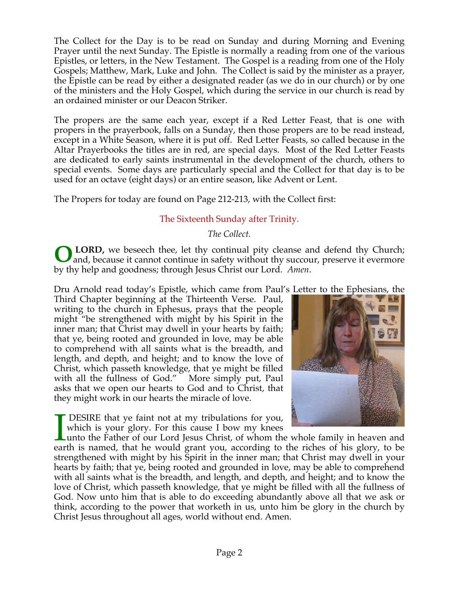The Collect for the Day is to be read on Sunday and during Morning and Evening Prayer until the next Sunday. The Epistle is normally a reading from one of the various Epistles, or letters, in the New Testament. The Gospel is a reading from one of the Holy Gospels; Matthew, Mark, Luke and John. The Collect is said by the minister as a prayer, the Epistle can be read by either a designated reader (as we do in our church) or by one of the ministers and the Holy Gospel, which during the service in our church is read by an ordained minister or our Deacon Striker.

The propers are the same each year, except if a Red Letter Feast, that is one with propers in the prayerbook, falls on a Sunday, then those propers are to be read instead, except in a White Season, where it is put off. Red Letter Feasts, so called because in the Altar Prayerbooks the titles are in red, are special days. Most of the Red Letter Feasts are dedicated to early saints instrumental in the development of the church, others to special events. Some days are particularly special and the Collect for that day is to be used for an octave (eight days) or an entire season, like Advent or Lent.

The Propers for today are found on Page 212-213, with the Collect first:

# The Sixteenth Sunday after Trinity.

*The Collect.*

 **LORD,** we beseech thee, let thy continual pity cleanse and defend thy Church; and, because it cannot continue in safety without thy succour, preserve it evermore by thy help and goodness; through Jesus Christ our Lord. *Amen*. **O**

Dru Arnold read today's Epistle, which came from Paul's Letter to the Ephesians, the

Third Chapter beginning at the Thirteenth Verse. Paul, writing to the church in Ephesus, prays that the people might "be strengthened with might by his Spirit in the inner man; that Christ may dwell in your hearts by faith; that ye, being rooted and grounded in love, may be able to comprehend with all saints what is the breadth, and length, and depth, and height; and to know the love of Christ, which passeth knowledge, that ye might be filled with all the fullness of God." More simply put, Paul asks that we open our hearts to God and to Christ, that they might work in our hearts the miracle of love.

 DESIRE that ye faint not at my tribulations for you, which is your glory. For this cause I bow my knees



unto the Father of our Lord Jesus Christ, of whom the whole family in heaven and earth is named, that he would grant you, according to the riches of his glory, to be strengthened with might by his Spirit in the inner man; that Christ may dwell in your hearts by faith; that ye, being rooted and grounded in love, may be able to comprehend with all saints what is the breadth, and length, and depth, and height; and to know the love of Christ, which passeth knowledge, that ye might be filled with all the fullness of God. Now unto him that is able to do exceeding abundantly above all that we ask or think, according to the power that worketh in us, unto him be glory in the church by Christ Jesus throughout all ages, world without end. Amen.  $\prod_{\text{ear}}$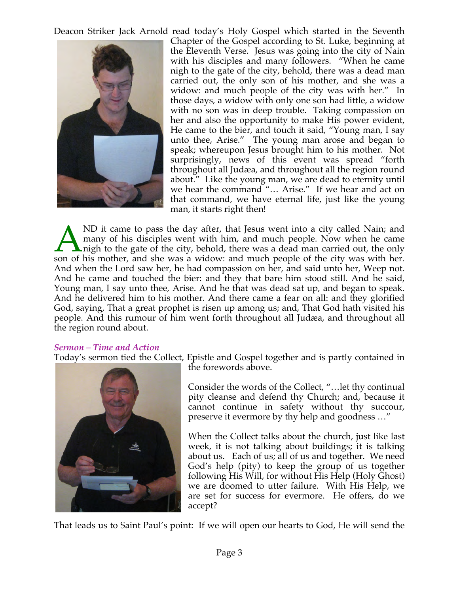Deacon Striker Jack Arnold read today's Holy Gospel which started in the Seventh



Chapter of the Gospel according to St. Luke, beginning at the Eleventh Verse. Jesus was going into the city of Nain with his disciples and many followers. "When he came nigh to the gate of the city, behold, there was a dead man carried out, the only son of his mother, and she was a widow: and much people of the city was with her." In those days, a widow with only one son had little, a widow with no son was in deep trouble. Taking compassion on her and also the opportunity to make His power evident, He came to the bier, and touch it said, "Young man, I say unto thee, Arise." The young man arose and began to speak; whereupon Jesus brought him to his mother. Not surprisingly, news of this event was spread "forth throughout all Judæa, and throughout all the region round about." Like the young man, we are dead to eternity until we hear the command "… Arise." If we hear and act on that command, we have eternal life, just like the young man, it starts right then!

ND it came to pass the day after, that Jesus went into a city called Nain; and many of his disciples went with him, and much people. Now when he came  $\blacktriangle$  nigh to the gate of the city, behold, there was a dead man carried out, the only ND it came to pass the day after, that Jesus went into a city called Nain; and many of his disciples went with him, and much people. Now when he came nigh to the gate of the city, behold, there was a dead man carried out, And when the Lord saw her, he had compassion on her, and said unto her, Weep not. And he came and touched the bier: and they that bare him stood still. And he said, Young man, I say unto thee, Arise. And he that was dead sat up, and began to speak. And he delivered him to his mother. And there came a fear on all: and they glorified God, saying, That a great prophet is risen up among us; and, That God hath visited his people. And this rumour of him went forth throughout all Judæa, and throughout all the region round about.

#### *Sermon – Time and Action*

Today's sermon tied the Collect, Epistle and Gospel together and is partly contained in



the forewords above. Consider the words of the Collect, "…let thy continual pity cleanse and defend thy Church; and, because it

cannot continue in safety without thy succour, preserve it evermore by thy help and goodness …"

When the Collect talks about the church, just like last week, it is not talking about buildings; it is talking about us. Each of us; all of us and together. We need God's help (pity) to keep the group of us together following His Will, for without His Help (Holy Ghost) we are doomed to utter failure. With His Help, we are set for success for evermore. He offers, do we accept?

That leads us to Saint Paul's point: If we will open our hearts to God, He will send the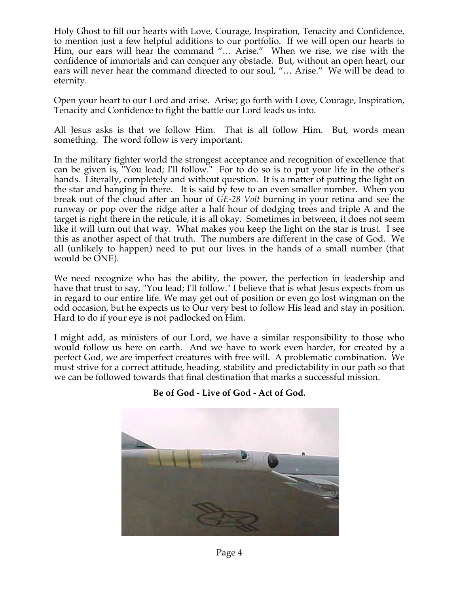Holy Ghost to fill our hearts with Love, Courage, Inspiration, Tenacity and Confidence, to mention just a few helpful additions to our portfolio. If we will open our hearts to Him, our ears will hear the command "... Arise." When we rise, we rise with the confidence of immortals and can conquer any obstacle. But, without an open heart, our ears will never hear the command directed to our soul, "… Arise." We will be dead to eternity.

Open your heart to our Lord and arise. Arise; go forth with Love, Courage, Inspiration, Tenacity and Confidence to fight the battle our Lord leads us into.

All Jesus asks is that we follow Him. That is all follow Him. But, words mean something. The word follow is very important.

In the military fighter world the strongest acceptance and recognition of excellence that can be given is, "You lead; I'll follow." For to do so is to put your life in the other's hands. Literally, completely and without question. It is a matter of putting the light on the star and hanging in there. It is said by few to an even smaller number. When you break out of the cloud after an hour of *GE-28 Volt* burning in your retina and see the runway or pop over the ridge after a half hour of dodging trees and triple A and the target is right there in the reticule, it is all okay. Sometimes in between, it does not seem like it will turn out that way. What makes you keep the light on the star is trust. I see this as another aspect of that truth. The numbers are different in the case of God. We all (unlikely to happen) need to put our lives in the hands of a small number (that would be ONE).

We need recognize who has the ability, the power, the perfection in leadership and have that trust to say, "You lead; I'll follow." I believe that is what Jesus expects from us in regard to our entire life. We may get out of position or even go lost wingman on the odd occasion, but he expects us to Our very best to follow His lead and stay in position. Hard to do if your eye is not padlocked on Him.

I might add, as ministers of our Lord, we have a similar responsibility to those who would follow us here on earth. And we have to work even harder, for created by a perfect God, we are imperfect creatures with free will. A problematic combination. We must strive for a correct attitude, heading, stability and predictability in our path so that we can be followed towards that final destination that marks a successful mission.



## **Be of God - Live of God - Act of God.**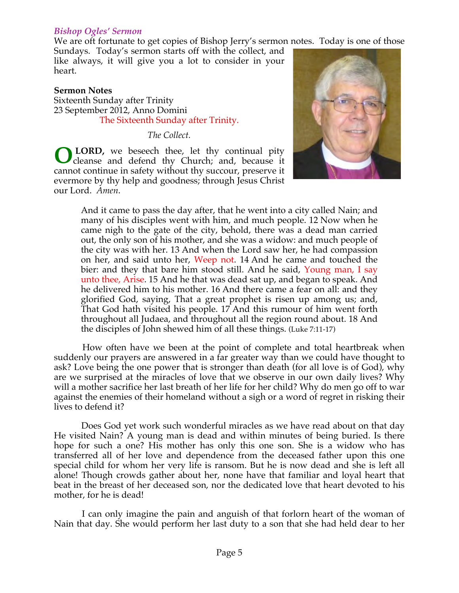#### *Bishop Ogles' Sermon*

We are oft fortunate to get copies of Bishop Jerry's sermon notes. Today is one of those

Sundays. Today's sermon starts off with the collect, and like always, it will give you a lot to consider in your heart.

#### **Sermon Notes** Sixteenth Sunday after Trinity 23 September 2012, Anno Domini The Sixteenth Sunday after Trinity.

*The Collect.*

 **LORD,** we beseech thee, let thy continual pity cleanse and defend thy Church; and, because it cannot continue in safety without thy succour, preserve it evermore by thy help and goodness; through Jesus Christ our Lord. *Amen*. **O**



And it came to pass the day after, that he went into a city called Nain; and many of his disciples went with him, and much people. 12 Now when he came nigh to the gate of the city, behold, there was a dead man carried out, the only son of his mother, and she was a widow: and much people of the city was with her. 13 And when the Lord saw her, he had compassion on her, and said unto her, Weep not. 14 And he came and touched the bier: and they that bare him stood still. And he said, Young man, I say unto thee, Arise. 15 And he that was dead sat up, and began to speak. And he delivered him to his mother. 16 And there came a fear on all: and they glorified God, saying, That a great prophet is risen up among us; and, That God hath visited his people. 17 And this rumour of him went forth throughout all Judaea, and throughout all the region round about. 18 And the disciples of John shewed him of all these things. (Luke 7:11-17)

How often have we been at the point of complete and total heartbreak when suddenly our prayers are answered in a far greater way than we could have thought to ask? Love being the one power that is stronger than death (for all love is of God), why are we surprised at the miracles of love that we observe in our own daily lives? Why will a mother sacrifice her last breath of her life for her child? Why do men go off to war against the enemies of their homeland without a sigh or a word of regret in risking their lives to defend it?

 Does God yet work such wonderful miracles as we have read about on that day He visited Nain? A young man is dead and within minutes of being buried. Is there hope for such a one? His mother has only this one son. She is a widow who has transferred all of her love and dependence from the deceased father upon this one special child for whom her very life is ransom. But he is now dead and she is left all alone! Though crowds gather about her, none have that familiar and loyal heart that beat in the breast of her deceased son, nor the dedicated love that heart devoted to his mother, for he is dead!

 I can only imagine the pain and anguish of that forlorn heart of the woman of Nain that day. She would perform her last duty to a son that she had held dear to her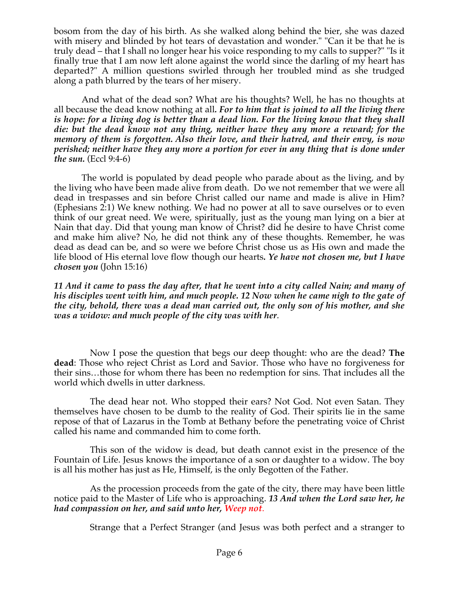bosom from the day of his birth. As she walked along behind the bier, she was dazed with misery and blinded by hot tears of devastation and wonder." "Can it be that he is truly dead – that I shall no longer hear his voice responding to my calls to supper?" "Is it finally true that I am now left alone against the world since the darling of my heart has departed?" A million questions swirled through her troubled mind as she trudged along a path blurred by the tears of her misery.

And what of the dead son? What are his thoughts? Well, he has no thoughts at all because the dead know nothing at all*. For to him that is joined to all the living there*  is hope: for a living dog is better than a dead lion. For the living know that they shall *die: but the dead know not any thing, neither have they any more a reward; for the memory of them is forgotten. Also their love, and their hatred, and their envy, is now perished; neither have they any more a portion for ever in any thing that is done under the sun.* (Eccl 9:4-6)

The world is populated by dead people who parade about as the living, and by the living who have been made alive from death. Do we not remember that we were all dead in trespasses and sin before Christ called our name and made is alive in Him? (Ephesians 2:1) We knew nothing. We had no power at all to save ourselves or to even think of our great need. We were, spiritually, just as the young man lying on a bier at Nain that day. Did that young man know of Christ? did he desire to have Christ come and make him alive? No, he did not think any of these thoughts. Remember, he was dead as dead can be, and so were we before Christ chose us as His own and made the life blood of His eternal love flow though our hearts*. Ye have not chosen me, but I have chosen you* (John 15:16)

*11 And it came to pass the day after, that he went into a city called Nain; and many of his disciples went with him, and much people. 12 Now when he came nigh to the gate of the city, behold, there was a dead man carried out, the only son of his mother, and she was a widow: and much people of the city was with her*.

Now I pose the question that begs our deep thought: who are the dead? **The dead**: Those who reject Christ as Lord and Savior. Those who have no forgiveness for their sins…those for whom there has been no redemption for sins. That includes all the world which dwells in utter darkness.

The dead hear not. Who stopped their ears? Not God. Not even Satan. They themselves have chosen to be dumb to the reality of God. Their spirits lie in the same repose of that of Lazarus in the Tomb at Bethany before the penetrating voice of Christ called his name and commanded him to come forth.

This son of the widow is dead, but death cannot exist in the presence of the Fountain of Life. Jesus knows the importance of a son or daughter to a widow. The boy is all his mother has just as He, Himself, is the only Begotten of the Father.

As the procession proceeds from the gate of the city, there may have been little notice paid to the Master of Life who is approaching. *13 And when the Lord saw her, he had compassion on her, and said unto her, Weep not*.

Strange that a Perfect Stranger (and Jesus was both perfect and a stranger to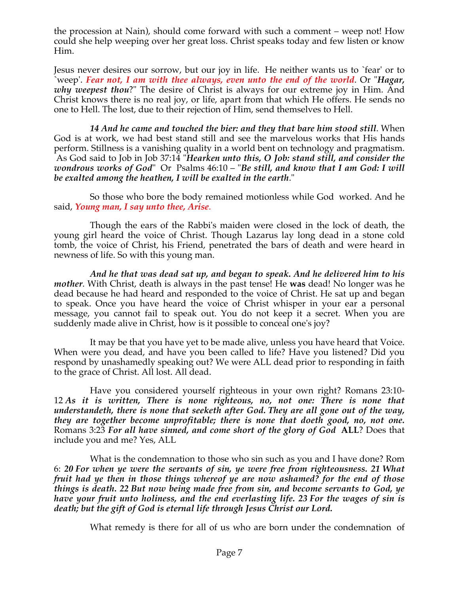the procession at Nain), should come forward with such a comment – weep not! How could she help weeping over her great loss. Christ speaks today and few listen or know Him.

Jesus never desires our sorrow, but our joy in life. He neither wants us to `fear' or to `weep'. *Fear not, I am with thee always, even unto the end of the world*. Or "*Hagar, why weepest thou*?" The desire of Christ is always for our extreme joy in Him. And Christ knows there is no real joy, or life, apart from that which He offers. He sends no one to Hell. The lost, due to their rejection of Him, send themselves to Hell.

*14 And he came and touched the bier: and they that bare him stood still*. When God is at work, we had best stand still and see the marvelous works that His hands perform. Stillness is a vanishing quality in a world bent on technology and pragmatism. As God said to Job in Job 37:14 "*Hearken unto this, O Job: stand still, and consider the wondrous works of God*" Or Psalms 46:10 – "*Be still, and know that I am God: I will be exalted among the heathen, I will be exalted in the earth*."

So those who bore the body remained motionless while God worked. And he said, *Young man, I say unto thee, Arise*.

Though the ears of the Rabbi's maiden were closed in the lock of death, the young girl heard the voice of Christ. Though Lazarus lay long dead in a stone cold tomb, the voice of Christ, his Friend, penetrated the bars of death and were heard in newness of life. So with this young man.

*And he that was dead sat up, and began to speak. And he delivered him to his mother*. With Christ, death is always in the past tense! He **was** dead! No longer was he dead because he had heard and responded to the voice of Christ. He sat up and began to speak. Once you have heard the voice of Christ whisper in your ear a personal message, you cannot fail to speak out. You do not keep it a secret. When you are suddenly made alive in Christ, how is it possible to conceal one's joy?

It may be that you have yet to be made alive, unless you have heard that Voice. When were you dead, and have you been called to life? Have you listened? Did you respond by unashamedly speaking out? We were ALL dead prior to responding in faith to the grace of Christ. All lost. All dead.

Have you considered yourself righteous in your own right? Romans 23:10- 12 *As it is written, There is none righteous, no, not one: There is none that understandeth, there is none that seeketh after God. They are all gone out of the way, they are together become unprofitable; there is none that doeth good, no, not one.*  Romans 3:23 *For all have sinned, and come short of the glory of God* **ALL**? Does that include you and me? Yes, ALL

What is the condemnation to those who sin such as you and I have done? Rom 6: *20 For when ye were the servants of sin, ye were free from righteousness. 21 What fruit had ye then in those things whereof ye are now ashamed? for the end of those things is death. 22 But now being made free from sin, and become servants to God, ye have your fruit unto holiness, and the end everlasting life. 23 For the wages of sin is death; but the gift of God is eternal life through Jesus Christ our Lord.*

What remedy is there for all of us who are born under the condemnation of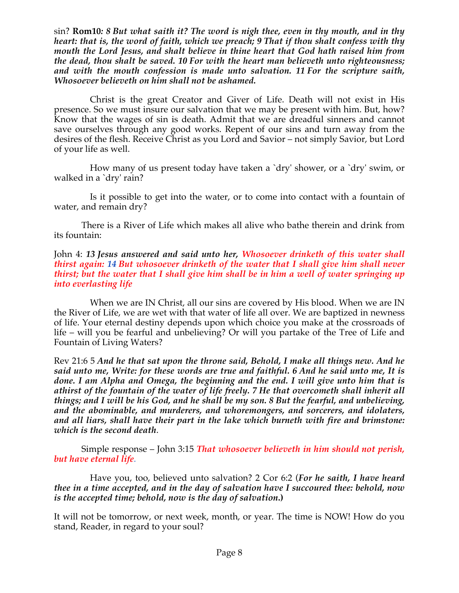sin? **Rom10***: 8 But what saith it? The word is nigh thee, even in thy mouth, and in thy heart: that is, the word of faith, which we preach; 9 That if thou shalt confess with thy mouth the Lord Jesus, and shalt believe in thine heart that God hath raised him from the dead, thou shalt be saved. 10 For with the heart man believeth unto righteousness; and with the mouth confession is made unto salvation. 11 For the scripture saith, Whosoever believeth on him shall not be ashamed.*

Christ is the great Creator and Giver of Life. Death will not exist in His presence. So we must insure our salvation that we may be present with him. But, how? Know that the wages of sin is death. Admit that we are dreadful sinners and cannot save ourselves through any good works. Repent of our sins and turn away from the desires of the flesh. Receive Christ as you Lord and Savior – not simply Savior, but Lord of your life as well.

How many of us present today have taken a `dry' shower, or a `dry' swim, or walked in a `dry' rain?

Is it possible to get into the water, or to come into contact with a fountain of water, and remain dry?

 There is a River of Life which makes all alive who bathe therein and drink from its fountain:

#### John 4: *13 Jesus answered and said unto her, Whosoever drinketh of this water shall thirst again: 14 But whosoever drinketh of the water that I shall give him shall never thirst; but the water that I shall give him shall be in him a well of water springing up into everlasting life*

When we are IN Christ, all our sins are covered by His blood. When we are IN the River of Life, we are wet with that water of life all over. We are baptized in newness of life. Your eternal destiny depends upon which choice you make at the crossroads of life – will you be fearful and unbelieving? Or will you partake of the Tree of Life and Fountain of Living Waters?

Rev 21:6 5 *And he that sat upon the throne said, Behold, I make all things new. And he said unto me, Write: for these words are true and faithful. 6 And he said unto me, It is done. I am Alpha and Omega, the beginning and the end. I will give unto him that is athirst of the fountain of the water of life freely. 7 He that overcometh shall inherit all things; and I will be his God, and he shall be my son. 8 But the fearful, and unbelieving, and the abominable, and murderers, and whoremongers, and sorcerers, and idolaters, and all liars, shall have their part in the lake which burneth with fire and brimstone: which is the second death*.

 Simple response – John 3:15 *That whosoever believeth in him should not perish, but have eternal life.*

Have you, too, believed unto salvation? 2 Cor 6:2 (*For he saith, I have heard thee in a time accepted, and in the day of salvation have I succoured thee: behold, now is the accepted time; behold, now is the day of salvation***.)**

It will not be tomorrow, or next week, month, or year. The time is NOW! How do you stand, Reader, in regard to your soul?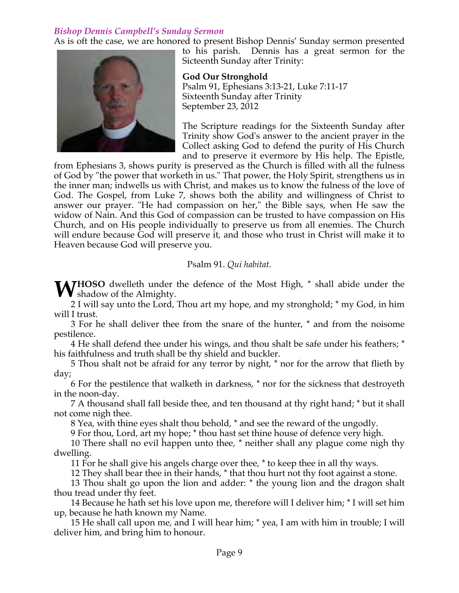### *Bishop Dennis Campbell's Sunday Sermon*

As is oft the case, we are honored to present Bishop Dennis' Sunday sermon presented



to his parish. Dennis has a great sermon for the Sicteenth Sunday after Trinity:

#### **God Our Stronghold**

Psalm 91, Ephesians 3:13-21, Luke 7:11-17 Sixteenth Sunday after Trinity September 23, 2012

The Scripture readings for the Sixteenth Sunday after Trinity show God's answer to the ancient prayer in the Collect asking God to defend the purity of His Church and to preserve it evermore by His help. The Epistle,

from Ephesians 3, shows purity is preserved as the Church is filled with all the fulness of God by "the power that worketh in us." That power, the Holy Spirit, strengthens us in the inner man; indwells us with Christ, and makes us to know the fulness of the love of God. The Gospel, from Luke 7, shows both the ability and willingness of Christ to answer our prayer. "He had compassion on her," the Bible says, when He saw the widow of Nain. And this God of compassion can be trusted to have compassion on His Church, and on His people individually to preserve us from all enemies. The Church will endure because God will preserve it, and those who trust in Christ will make it to Heaven because God will preserve you.

#### Psalm 91. *Qui habitat.*

**HOSO** dwelleth under the defence of the Most High, \* shall abide under the **W** shadow of the Almighty.

2 I will say unto the Lord, Thou art my hope, and my stronghold; \* my God, in him will I trust.

3 For he shall deliver thee from the snare of the hunter, \* and from the noisome pestilence.

4 He shall defend thee under his wings, and thou shalt be safe under his feathers; \* his faithfulness and truth shall be thy shield and buckler.

5 Thou shalt not be afraid for any terror by night, \* nor for the arrow that flieth by day;

6 For the pestilence that walketh in darkness, \* nor for the sickness that destroyeth in the noon-day.

7 A thousand shall fall beside thee, and ten thousand at thy right hand; \* but it shall not come nigh thee.

8 Yea, with thine eyes shalt thou behold, \* and see the reward of the ungodly.

9 For thou, Lord, art my hope; \* thou hast set thine house of defence very high.

10 There shall no evil happen unto thee, \* neither shall any plague come nigh thy dwelling.

11 For he shall give his angels charge over thee, \* to keep thee in all thy ways.

12 They shall bear thee in their hands, \* that thou hurt not thy foot against a stone.

13 Thou shalt go upon the lion and adder: \* the young lion and the dragon shalt thou tread under thy feet.

14 Because he hath set his love upon me, therefore will I deliver him; \* I will set him up, because he hath known my Name.

15 He shall call upon me, and I will hear him; \* yea, I am with him in trouble; I will deliver him, and bring him to honour.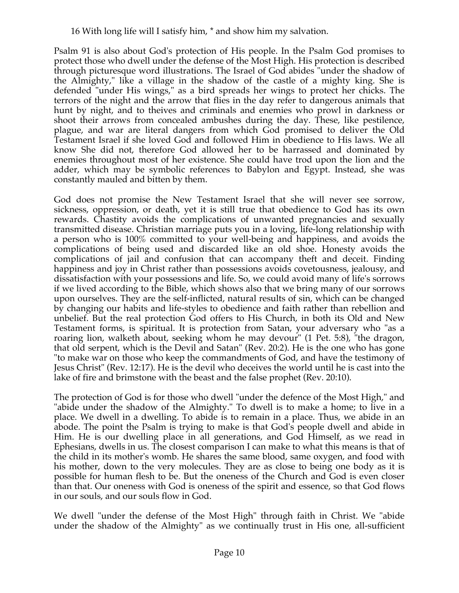16 With long life will I satisfy him, \* and show him my salvation.

Psalm 91 is also about God's protection of His people. In the Psalm God promises to protect those who dwell under the defense of the Most High. His protection is described through picturesque word illustrations. The Israel of God abides "under the shadow of the Almighty," like a village in the shadow of the castle of a mighty king. She is defended "under His wings," as a bird spreads her wings to protect her chicks. The terrors of the night and the arrow that flies in the day refer to dangerous animals that hunt by night, and to theives and criminals and enemies who prowl in darkness or shoot their arrows from concealed ambushes during the day. These, like pestilence, plague, and war are literal dangers from which God promised to deliver the Old Testament Israel if she loved God and followed Him in obedience to His laws. We all know She did not, therefore God allowed her to be harrassed and dominated by enemies throughout most of her existence. She could have trod upon the lion and the adder, which may be symbolic references to Babylon and Egypt. Instead, she was constantly mauled and bitten by them.

God does not promise the New Testament Israel that she will never see sorrow, sickness, oppression, or death, yet it is still true that obedience to God has its own rewards. Chastity avoids the complications of unwanted pregnancies and sexually transmitted disease. Christian marriage puts you in a loving, life-long relationship with a person who is 100% committed to your well-being and happiness, and avoids the complications of being used and discarded like an old shoe. Honesty avoids the complications of jail and confusion that can accompany theft and deceit. Finding happiness and joy in Christ rather than possessions avoids covetousness, jealousy, and dissatisfaction with your possessions and life. So, we could avoid many of life's sorrows if we lived according to the Bible, which shows also that we bring many of our sorrows upon ourselves. They are the self-inflicted, natural results of sin, which can be changed by changing our habits and life-styles to obedience and faith rather than rebellion and unbelief. But the real protection God offers to His Church, in both its Old and New Testament forms, is spiritual. It is protection from Satan, your adversary who "as a roaring lion, walketh about, seeking whom he may devour" (1 Pet. 5:8), "the dragon, that old serpent, which is the Devil and Satan" (Rev. 20:2). He is the one who has gone "to make war on those who keep the commandments of God, and have the testimony of Jesus Christ" (Rev. 12:17). He is the devil who deceives the world until he is cast into the lake of fire and brimstone with the beast and the false prophet (Rev. 20:10).

The protection of God is for those who dwell "under the defence of the Most High," and "abide under the shadow of the Almighty." To dwell is to make a home; to live in a place. We dwell in a dwelling. To abide is to remain in a place. Thus, we abide in an abode. The point the Psalm is trying to make is that God's people dwell and abide in Him. He is our dwelling place in all generations, and God Himself, as we read in Ephesians, dwells in us. The closest comparison I can make to what this means is that of the child in its mother's womb. He shares the same blood, same oxygen, and food with his mother, down to the very molecules. They are as close to being one body as it is possible for human flesh to be. But the oneness of the Church and God is even closer than that. Our oneness with God is oneness of the spirit and essence, so that God flows in our souls, and our souls flow in God.

We dwell "under the defense of the Most High" through faith in Christ. We "abide under the shadow of the Almighty" as we continually trust in His one, all-sufficient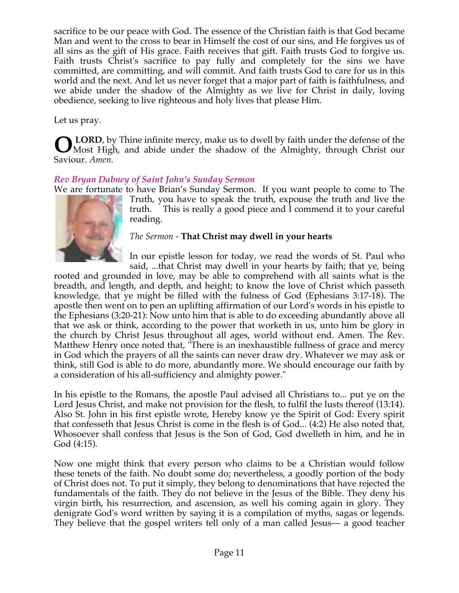sacrifice to be our peace with God. The essence of the Christian faith is that God became Man and went to the cross to bear in Himself the cost of our sins, and He forgives us of all sins as the gift of His grace. Faith receives that gift. Faith trusts God to forgive us. Faith trusts Christ's sacrifice to pay fully and completely for the sins we have committed, are committing, and will commit. And faith trusts God to care for us in this world and the next. And let us never forget that a major part of faith is faithfulness, and we abide under the shadow of the Almighty as we live for Christ in daily, loving obedience, seeking to live righteous and holy lives that please Him.

Let us pray.

 **LORD**, by Thine infinite mercy, make us to dwell by faith under the defense of the Most High, and abide under the shadow of the Almighty, through Christ our Most High, and abide under the shadow of the Almighty, through Christ our Saviour. *Amen.*

# *Rev Bryan Dabney of Saint John's Sunday Sermon*

We are fortunate to have Brian's Sunday Sermon. If you want people to come to The



Truth, you have to speak the truth, expouse the truth and live the truth. This is really a good piece and I commend it to your careful reading.

## *The Sermon -* **That Christ may dwell in your hearts**

In our epistle lesson for today, we read the words of St. Paul who said, ...that Christ may dwell in your hearts by faith; that ye, being

rooted and grounded in love, may be able to comprehend with all saints what is the breadth, and length, and depth, and height; to know the love of Christ which passeth knowledge, that ye might be filled with the fulness of God (Ephesians 3:17-18). The apostle then went on to pen an uplifting affirmation of our Lord's words in his epistle to the Ephesians (3:20-21): Now unto him that is able to do exceeding abundantly above all that we ask or think, according to the power that worketh in us, unto him be glory in the church by Christ Jesus throughout all ages, world without end. Amen. The Rev. Matthew Henry once noted that, "There is an inexhaustible fullness of grace and mercy in God which the prayers of all the saints can never draw dry. Whatever we may ask or think, still God is able to do more, abundantly more. We should encourage our faith by a consideration of his all-sufficiency and almighty power."

In his epistle to the Romans, the apostle Paul advised all Christians to... put ye on the Lord Jesus Christ, and make not provision for the flesh, to fulfil the lusts thereof (13:14). Also St. John in his first epistle wrote, Hereby know ye the Spirit of God: Every spirit that confesseth that Jesus Christ is come in the flesh is of God... (4:2) He also noted that, Whosoever shall confess that Jesus is the Son of God, God dwelleth in him, and he in God (4:15).

Now one might think that every person who claims to be a Christian would follow these tenets of the faith. No doubt some do; nevertheless, a goodly portion of the body of Christ does not. To put it simply, they belong to denominations that have rejected the fundamentals of the faith. They do not believe in the Jesus of the Bible. They deny his virgin birth, his resurrection, and ascension, as well his coming again in glory. They denigrate God's word written by saying it is a compilation of myths, sagas or legends. They believe that the gospel writers tell only of a man called Jesus— a good teacher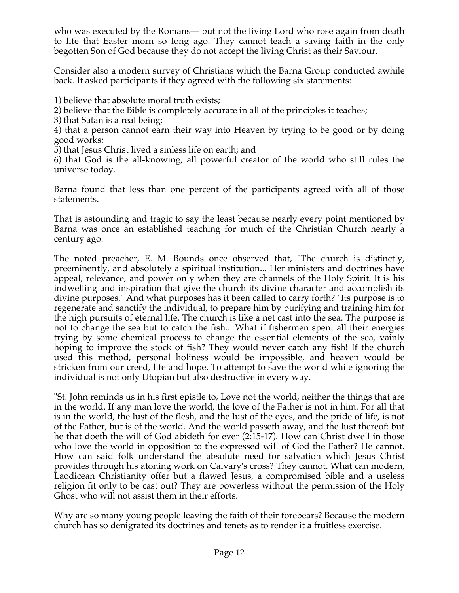who was executed by the Romans— but not the living Lord who rose again from death to life that Easter morn so long ago. They cannot teach a saving faith in the only begotten Son of God because they do not accept the living Christ as their Saviour.

Consider also a modern survey of Christians which the Barna Group conducted awhile back. It asked participants if they agreed with the following six statements:

- 1) believe that absolute moral truth exists;
- 2) believe that the Bible is completely accurate in all of the principles it teaches;
- 3) that Satan is a real being;
- 4) that a person cannot earn their way into Heaven by trying to be good or by doing good works;
- 5) that Jesus Christ lived a sinless life on earth; and

6) that God is the all-knowing, all powerful creator of the world who still rules the universe today.

Barna found that less than one percent of the participants agreed with all of those statements.

That is astounding and tragic to say the least because nearly every point mentioned by Barna was once an established teaching for much of the Christian Church nearly a century ago.

The noted preacher, E. M. Bounds once observed that, "The church is distinctly, preeminently, and absolutely a spiritual institution... Her ministers and doctrines have appeal, relevance, and power only when they are channels of the Holy Spirit. It is his indwelling and inspiration that give the church its divine character and accomplish its divine purposes." And what purposes has it been called to carry forth? "Its purpose is to regenerate and sanctify the individual, to prepare him by purifying and training him for the high pursuits of eternal life. The church is like a net cast into the sea. The purpose is not to change the sea but to catch the fish... What if fishermen spent all their energies trying by some chemical process to change the essential elements of the sea, vainly hoping to improve the stock of fish? They would never catch any fish! If the church used this method, personal holiness would be impossible, and heaven would be stricken from our creed, life and hope. To attempt to save the world while ignoring the individual is not only Utopian but also destructive in every way.

"St. John reminds us in his first epistle to, Love not the world, neither the things that are in the world. If any man love the world, the love of the Father is not in him. For all that is in the world, the lust of the flesh, and the lust of the eyes, and the pride of life, is not of the Father, but is of the world. And the world passeth away, and the lust thereof: but he that doeth the will of God abideth for ever (2:15-17). How can Christ dwell in those who love the world in opposition to the expressed will of God the Father? He cannot. How can said folk understand the absolute need for salvation which Jesus Christ provides through his atoning work on Calvary's cross? They cannot. What can modern, Laodicean Christianity offer but a flawed Jesus, a compromised bible and a useless religion fit only to be cast out? They are powerless without the permission of the Holy Ghost who will not assist them in their efforts.

Why are so many young people leaving the faith of their forebears? Because the modern church has so denigrated its doctrines and tenets as to render it a fruitless exercise.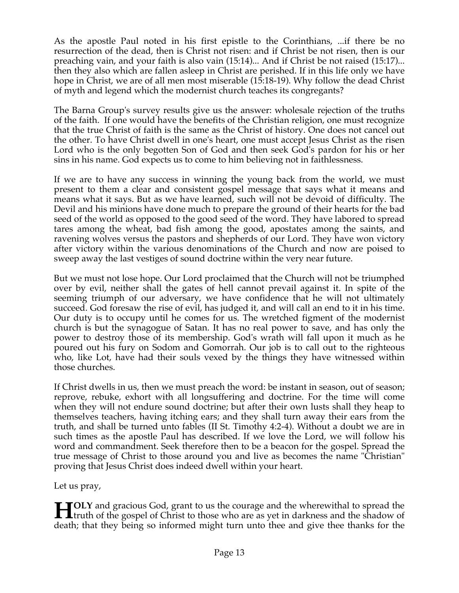As the apostle Paul noted in his first epistle to the Corinthians, ...if there be no resurrection of the dead, then is Christ not risen: and if Christ be not risen, then is our preaching vain, and your faith is also vain (15:14)... And if Christ be not raised (15:17)... then they also which are fallen asleep in Christ are perished. If in this life only we have hope in Christ, we are of all men most miserable (15:18-19). Why follow the dead Christ of myth and legend which the modernist church teaches its congregants?

The Barna Group's survey results give us the answer: wholesale rejection of the truths of the faith. If one would have the benefits of the Christian religion, one must recognize that the true Christ of faith is the same as the Christ of history. One does not cancel out the other. To have Christ dwell in one's heart, one must accept Jesus Christ as the risen Lord who is the only begotten Son of God and then seek God's pardon for his or her sins in his name. God expects us to come to him believing not in faithlessness.

If we are to have any success in winning the young back from the world, we must present to them a clear and consistent gospel message that says what it means and means what it says. But as we have learned, such will not be devoid of difficulty. The Devil and his minions have done much to prepare the ground of their hearts for the bad seed of the world as opposed to the good seed of the word. They have labored to spread tares among the wheat, bad fish among the good, apostates among the saints, and ravening wolves versus the pastors and shepherds of our Lord. They have won victory after victory within the various denominations of the Church and now are poised to sweep away the last vestiges of sound doctrine within the very near future.

But we must not lose hope. Our Lord proclaimed that the Church will not be triumphed over by evil, neither shall the gates of hell cannot prevail against it. In spite of the seeming triumph of our adversary, we have confidence that he will not ultimately succeed. God foresaw the rise of evil, has judged it, and will call an end to it in his time. Our duty is to occupy until he comes for us. The wretched figment of the modernist church is but the synagogue of Satan. It has no real power to save, and has only the power to destroy those of its membership. God's wrath will fall upon it much as he poured out his fury on Sodom and Gomorrah. Our job is to call out to the righteous who, like Lot, have had their souls vexed by the things they have witnessed within those churches.

If Christ dwells in us, then we must preach the word: be instant in season, out of season; reprove, rebuke, exhort with all longsuffering and doctrine. For the time will come when they will not endure sound doctrine; but after their own lusts shall they heap to themselves teachers, having itching ears; and they shall turn away their ears from the truth, and shall be turned unto fables (II St. Timothy 4:2-4). Without a doubt we are in such times as the apostle Paul has described. If we love the Lord, we will follow his word and commandment. Seek therefore then to be a beacon for the gospel. Spread the true message of Christ to those around you and live as becomes the name "Christian" proving that Jesus Christ does indeed dwell within your heart.

Let us pray,

**TOLY** and gracious God, grant to us the courage and the wherewithal to spread the **the gospel of Christ to those who are as yet in darkness and the shadow of the gospel of Christ to those who are as yet in darkness and the shadow of the shadow of** death; that they being so informed might turn unto thee and give thee thanks for the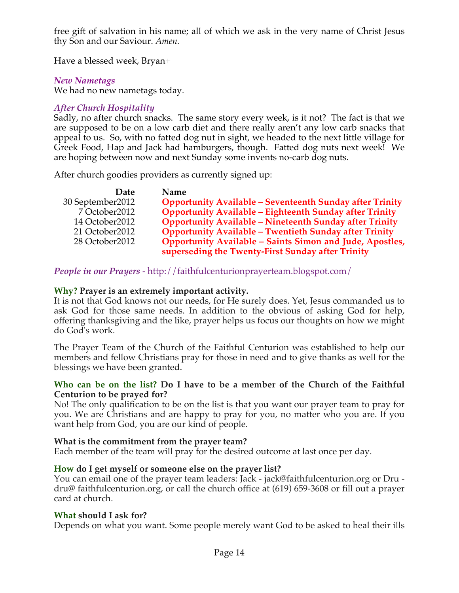free gift of salvation in his name; all of which we ask in the very name of Christ Jesus thy Son and our Saviour. *Amen.*

Have a blessed week, Bryan+

## *New Nametags*

We had no new nametags today.

# *After Church Hospitality*

Sadly, no after church snacks. The same story every week, is it not? The fact is that we are supposed to be on a low carb diet and there really aren't any low carb snacks that appeal to us. So, with no fatted dog nut in sight, we headed to the next little village for Greek Food, Hap and Jack had hamburgers, though. Fatted dog nuts next week! We are hoping between now and next Sunday some invents no-carb dog nuts.

After church goodies providers as currently signed up:

| <b>Date</b>       | Name                                                            |
|-------------------|-----------------------------------------------------------------|
| 30 September 2012 | <b>Opportunity Available - Seventeenth Sunday after Trinity</b> |
| 7 October2012     | <b>Opportunity Available - Eighteenth Sunday after Trinity</b>  |
| 14 October2012    | <b>Opportunity Available - Nineteenth Sunday after Trinity</b>  |
| 21 October2012    | <b>Opportunity Available - Twentieth Sunday after Trinity</b>   |
| 28 October 2012   | Opportunity Available - Saints Simon and Jude, Apostles,        |
|                   | superseding the Twenty-First Sunday after Trinity               |

*People in our Prayers* - http://faithfulcenturionprayerteam.blogspot.com/

## **Why? Prayer is an extremely important activity.**

It is not that God knows not our needs, for He surely does. Yet, Jesus commanded us to ask God for those same needs. In addition to the obvious of asking God for help, offering thanksgiving and the like, prayer helps us focus our thoughts on how we might do God's work.

The Prayer Team of the Church of the Faithful Centurion was established to help our members and fellow Christians pray for those in need and to give thanks as well for the blessings we have been granted.

### **Who can be on the list? Do I have to be a member of the Church of the Faithful Centurion to be prayed for?**

No! The only qualification to be on the list is that you want our prayer team to pray for you. We are Christians and are happy to pray for you, no matter who you are. If you want help from God, you are our kind of people.

## **What is the commitment from the prayer team?**

Each member of the team will pray for the desired outcome at last once per day.

## **How do I get myself or someone else on the prayer list?**

You can email one of the prayer team leaders: Jack - jack@faithfulcenturion.org or Dru dru@ faithfulcenturion.org, or call the church office at (619) 659-3608 or fill out a prayer card at church.

## **What should I ask for?**

Depends on what you want. Some people merely want God to be asked to heal their ills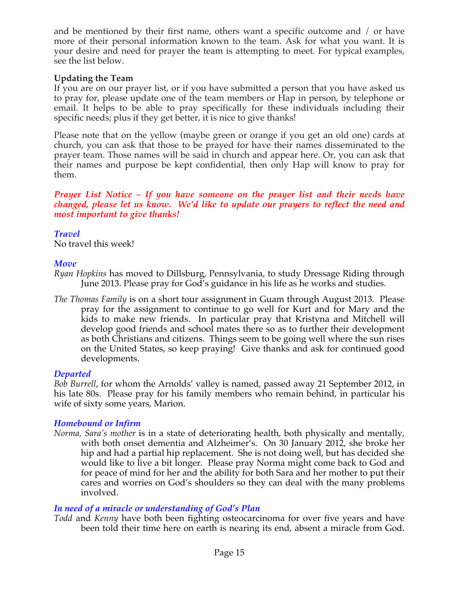and be mentioned by their first name, others want a specific outcome and / or have more of their personal information known to the team. Ask for what you want. It is your desire and need for prayer the team is attempting to meet. For typical examples, see the list below.

### **Updating the Team**

If you are on our prayer list, or if you have submitted a person that you have asked us to pray for, please update one of the team members or Hap in person, by telephone or email. It helps to be able to pray specifically for these individuals including their specific needs; plus if they get better, it is nice to give thanks!

Please note that on the yellow (maybe green or orange if you get an old one) cards at church, you can ask that those to be prayed for have their names disseminated to the prayer team. Those names will be said in church and appear here. Or, you can ask that their names and purpose be kept confidential, then only Hap will know to pray for them.

#### *Prayer List Notice – If you have someone on the prayer list and their needs have changed, please let us know. We'd like to update our prayers to reflect the need and most important to give thanks!*

### *Travel*

No travel this week!

### *Move*

*Ryan Hopkins* has moved to Dillsburg, Pennsylvania, to study Dressage Riding through June 2013. Please pray for God's guidance in his life as he works and studies.

*The Thomas Family* is on a short tour assignment in Guam through August 2013. Please pray for the assignment to continue to go well for Kurt and for Mary and the kids to make new friends. In particular pray that Kristyna and Mitchell will develop good friends and school mates there so as to further their development as both Christians and citizens. Things seem to be going well where the sun rises on the United States, so keep praying! Give thanks and ask for continued good developments.

## *Departed*

*Bob Burrell*, for whom the Arnolds' valley is named, passed away 21 September 2012, in his late 80s. Please pray for his family members who remain behind, in particular his wife of sixty some years, Marion.

## *Homebound or Infirm*

*Norma, Sara's mother* is in a state of deteriorating health, both physically and mentally, with both onset dementia and Alzheimer's. On 30 January 2012, she broke her hip and had a partial hip replacement. She is not doing well, but has decided she would like to live a bit longer. Please pray Norma might come back to God and for peace of mind for her and the ability for both Sara and her mother to put their cares and worries on God's shoulders so they can deal with the many problems involved.

## *In need of a miracle or understanding of God's Plan*

*Todd* and *Kenny* have both been fighting osteocarcinoma for over five years and have been told their time here on earth is nearing its end, absent a miracle from God.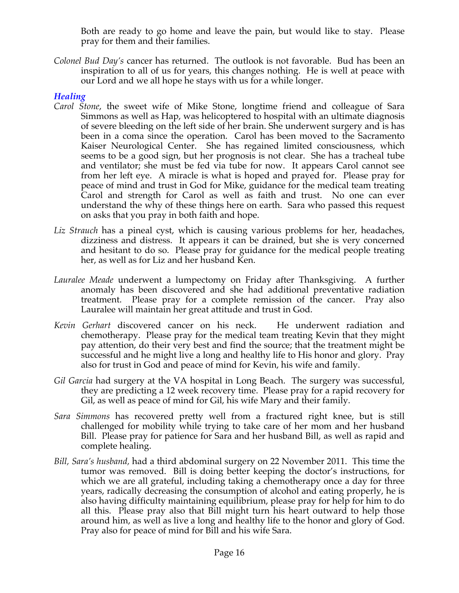Both are ready to go home and leave the pain, but would like to stay. Please pray for them and their families.

*Colonel Bud Day's* cancer has returned. The outlook is not favorable. Bud has been an inspiration to all of us for years, this changes nothing. He is well at peace with our Lord and we all hope he stays with us for a while longer.

### *Healing*

- *Carol Stone*, the sweet wife of Mike Stone, longtime friend and colleague of Sara Simmons as well as Hap, was helicoptered to hospital with an ultimate diagnosis of severe bleeding on the left side of her brain. She underwent surgery and is has been in a coma since the operation. Carol has been moved to the Sacramento Kaiser Neurological Center. She has regained limited consciousness, which seems to be a good sign, but her prognosis is not clear. She has a tracheal tube and ventilator; she must be fed via tube for now. It appears Carol cannot see from her left eye. A miracle is what is hoped and prayed for. Please pray for peace of mind and trust in God for Mike, guidance for the medical team treating Carol and strength for Carol as well as faith and trust. No one can ever understand the why of these things here on earth. Sara who passed this request on asks that you pray in both faith and hope.
- Liz *Strauch* has a pineal cyst, which is causing various problems for her, headaches, dizziness and distress. It appears it can be drained, but she is very concerned and hesitant to do so. Please pray for guidance for the medical people treating her, as well as for Liz and her husband Ken.
- *Lauralee Meade* underwent a lumpectomy on Friday after Thanksgiving. A further anomaly has been discovered and she had additional preventative radiation treatment. Please pray for a complete remission of the cancer. Pray also Lauralee will maintain her great attitude and trust in God.
- *Kevin Gerhart* discovered cancer on his neck. He underwent radiation and chemotherapy. Please pray for the medical team treating Kevin that they might pay attention, do their very best and find the source; that the treatment might be successful and he might live a long and healthy life to His honor and glory. Pray also for trust in God and peace of mind for Kevin, his wife and family.
- *Gil Garcia* had surgery at the VA hospital in Long Beach. The surgery was successful, they are predicting a 12 week recovery time. Please pray for a rapid recovery for Gil, as well as peace of mind for Gil, his wife Mary and their family.
- *Sara Simmons* has recovered pretty well from a fractured right knee, but is still challenged for mobility while trying to take care of her mom and her husband Bill. Please pray for patience for Sara and her husband Bill, as well as rapid and complete healing.
- *Bill, Sara's husband,* had a third abdominal surgery on 22 November 2011. This time the tumor was removed. Bill is doing better keeping the doctor's instructions, for which we are all grateful, including taking a chemotherapy once a day for three years, radically decreasing the consumption of alcohol and eating properly, he is also having difficulty maintaining equilibrium, please pray for help for him to do all this. Please pray also that Bill might turn his heart outward to help those around him, as well as live a long and healthy life to the honor and glory of God. Pray also for peace of mind for Bill and his wife Sara.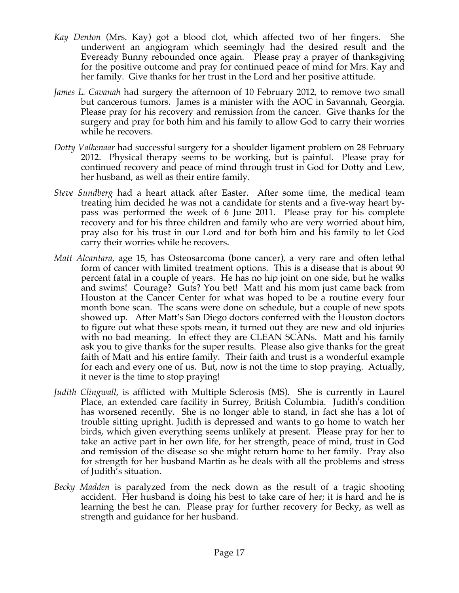- *Kay Denton* (Mrs. Kay) got a blood clot, which affected two of her fingers. She underwent an angiogram which seemingly had the desired result and the Eveready Bunny rebounded once again. Please pray a prayer of thanksgiving for the positive outcome and pray for continued peace of mind for Mrs. Kay and her family. Give thanks for her trust in the Lord and her positive attitude.
- *James L. Cavanah* had surgery the afternoon of 10 February 2012, to remove two small but cancerous tumors. James is a minister with the AOC in Savannah, Georgia. Please pray for his recovery and remission from the cancer. Give thanks for the surgery and pray for both him and his family to allow God to carry their worries while he recovers.
- *Dotty Valkenaar* had successful surgery for a shoulder ligament problem on 28 February 2012. Physical therapy seems to be working, but is painful. Please pray for continued recovery and peace of mind through trust in God for Dotty and Lew, her husband, as well as their entire family.
- *Steve Sundberg* had a heart attack after Easter. After some time, the medical team treating him decided he was not a candidate for stents and a five-way heart bypass was performed the week of 6 June 2011. Please pray for his complete recovery and for his three children and family who are very worried about him, pray also for his trust in our Lord and for both him and his family to let God carry their worries while he recovers.
- *Matt Alcantara*, age 15, has Osteosarcoma (bone cancer), a very rare and often lethal form of cancer with limited treatment options. This is a disease that is about 90 percent fatal in a couple of years. He has no hip joint on one side, but he walks and swims! Courage? Guts? You bet! Matt and his mom just came back from Houston at the Cancer Center for what was hoped to be a routine every four month bone scan. The scans were done on schedule, but a couple of new spots showed up. After Matt's San Diego doctors conferred with the Houston doctors to figure out what these spots mean, it turned out they are new and old injuries with no bad meaning. In effect they are CLEAN SCANs. Matt and his family ask you to give thanks for the super results. Please also give thanks for the great faith of Matt and his entire family. Their faith and trust is a wonderful example for each and every one of us. But, now is not the time to stop praying. Actually, it never is the time to stop praying!
- *Judith Clingwall*, is afflicted with Multiple Sclerosis (MS). She is currently in Laurel Place, an extended care facility in Surrey, British Columbia. Judith's condition has worsened recently. She is no longer able to stand, in fact she has a lot of trouble sitting upright. Judith is depressed and wants to go home to watch her birds, which given everything seems unlikely at present. Please pray for her to take an active part in her own life, for her strength, peace of mind, trust in God and remission of the disease so she might return home to her family. Pray also for strength for her husband Martin as he deals with all the problems and stress of Judith's situation.
- *Becky Madden* is paralyzed from the neck down as the result of a tragic shooting accident. Her husband is doing his best to take care of her; it is hard and he is learning the best he can. Please pray for further recovery for Becky, as well as strength and guidance for her husband.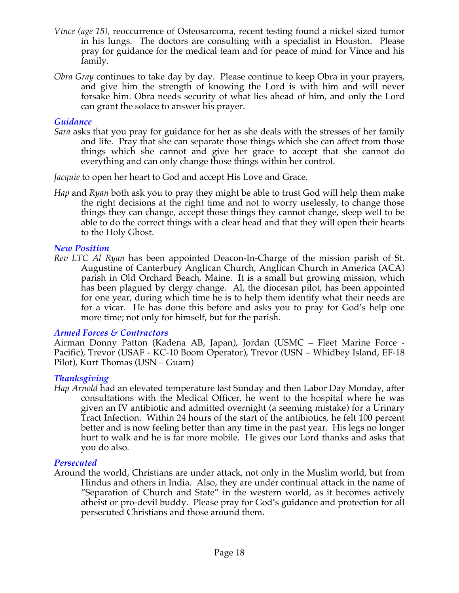- *Vince (age 15),* reoccurrence of Osteosarcoma, recent testing found a nickel sized tumor in his lungs. The doctors are consulting with a specialist in Houston. Please pray for guidance for the medical team and for peace of mind for Vince and his family.
- *Obra Gray* continues to take day by day. Please continue to keep Obra in your prayers, and give him the strength of knowing the Lord is with him and will never forsake him. Obra needs security of what lies ahead of him, and only the Lord can grant the solace to answer his prayer.

#### *Guidance*

*Sara* asks that you pray for guidance for her as she deals with the stresses of her family and life. Pray that she can separate those things which she can affect from those things which she cannot and give her grace to accept that she cannot do everything and can only change those things within her control.

*Jacquie* to open her heart to God and accept His Love and Grace.

*Hap* and *Ryan* both ask you to pray they might be able to trust God will help them make the right decisions at the right time and not to worry uselessly, to change those things they can change, accept those things they cannot change, sleep well to be able to do the correct things with a clear head and that they will open their hearts to the Holy Ghost.

#### *New Position*

*Rev LTC Al Ryan* has been appointed Deacon-In-Charge of the mission parish of St. Augustine of Canterbury Anglican Church, Anglican Church in America (ACA) parish in Old Orchard Beach, Maine. It is a small but growing mission, which has been plagued by clergy change. Al, the diocesan pilot, has been appointed for one year, during which time he is to help them identify what their needs are for a vicar. He has done this before and asks you to pray for God's help one more time; not only for himself, but for the parish.

#### *Armed Forces & Contractors*

Airman Donny Patton (Kadena AB, Japan), Jordan (USMC – Fleet Marine Force - Pacific), Trevor (USAF - KC-10 Boom Operator), Trevor (USN – Whidbey Island, EF-18 Pilot), Kurt Thomas (USN – Guam)

#### *Thanksgiving*

*Hap Arnold* had an elevated temperature last Sunday and then Labor Day Monday, after consultations with the Medical Officer, he went to the hospital where he was given an IV antibiotic and admitted overnight (a seeming mistake) for a Urinary Tract Infection. Within 24 hours of the start of the antibiotics, he felt 100 percent better and is now feeling better than any time in the past year. His legs no longer hurt to walk and he is far more mobile. He gives our Lord thanks and asks that you do also.

#### *Persecuted*

Around the world, Christians are under attack, not only in the Muslim world, but from Hindus and others in India. Also, they are under continual attack in the name of "Separation of Church and State" in the western world, as it becomes actively atheist or pro-devil buddy. Please pray for God's guidance and protection for all persecuted Christians and those around them.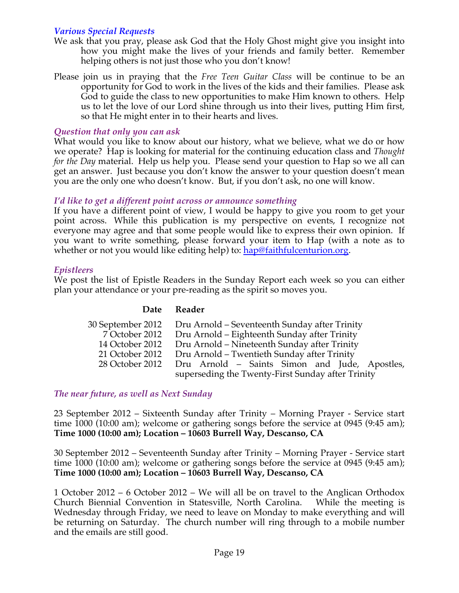## *Various Special Requests*

- We ask that you pray, please ask God that the Holy Ghost might give you insight into how you might make the lives of your friends and family better. Remember helping others is not just those who you don't know!
- Please join us in praying that the *Free Teen Guitar Class* will be continue to be an opportunity for God to work in the lives of the kids and their families. Please ask God to guide the class to new opportunities to make Him known to others. Help us to let the love of our Lord shine through us into their lives, putting Him first, so that He might enter in to their hearts and lives.

### *Question that only you can ask*

What would you like to know about our history, what we believe, what we do or how we operate? Hap is looking for material for the continuing education class and *Thought for the Day* material. Help us help you. Please send your question to Hap so we all can get an answer. Just because you don't know the answer to your question doesn't mean you are the only one who doesn't know. But, if you don't ask, no one will know.

### *I'd like to get a different point across or announce something*

If you have a different point of view, I would be happy to give you room to get your point across. While this publication is my perspective on events, I recognize not everyone may agree and that some people would like to express their own opinion. If you want to write something, please forward your item to Hap (with a note as to whether or not you would like editing help) to: hap@faithfulcenturion.org.

#### *Epistleers*

We post the list of Epistle Readers in the Sunday Report each week so you can either plan your attendance or your pre-reading as the spirit so moves you.

#### **Date Reader**

|                 | 30 September 2012 Dru Arnold – Seventeenth Sunday after Trinity |
|-----------------|-----------------------------------------------------------------|
| 7 October 2012  | Dru Arnold – Eighteenth Sunday after Trinity                    |
| 14 October 2012 | Dru Arnold - Nineteenth Sunday after Trinity                    |
| 21 October 2012 | Dru Arnold – Twentieth Sunday after Trinity                     |
| 28 October 2012 | Dru Arnold – Saints Simon and Jude, Apostles,                   |
|                 | superseding the Twenty-First Sunday after Trinity               |

#### *The near future, as well as Next Sunday*

23 September 2012 – Sixteenth Sunday after Trinity – Morning Prayer - Service start time 1000 (10:00 am); welcome or gathering songs before the service at 0945 (9:45 am); **Time 1000 (10:00 am); Location – 10603 Burrell Way, Descanso, CA**

30 September 2012 – Seventeenth Sunday after Trinity – Morning Prayer - Service start time 1000 (10:00 am); welcome or gathering songs before the service at 0945 (9:45 am); **Time 1000 (10:00 am); Location – 10603 Burrell Way, Descanso, CA**

1 October 2012 – 6 October 2012 – We will all be on travel to the Anglican Orthodox Church Biennial Convention in Statesville, North Carolina. While the meeting is Wednesday through Friday, we need to leave on Monday to make everything and will be returning on Saturday. The church number will ring through to a mobile number and the emails are still good.